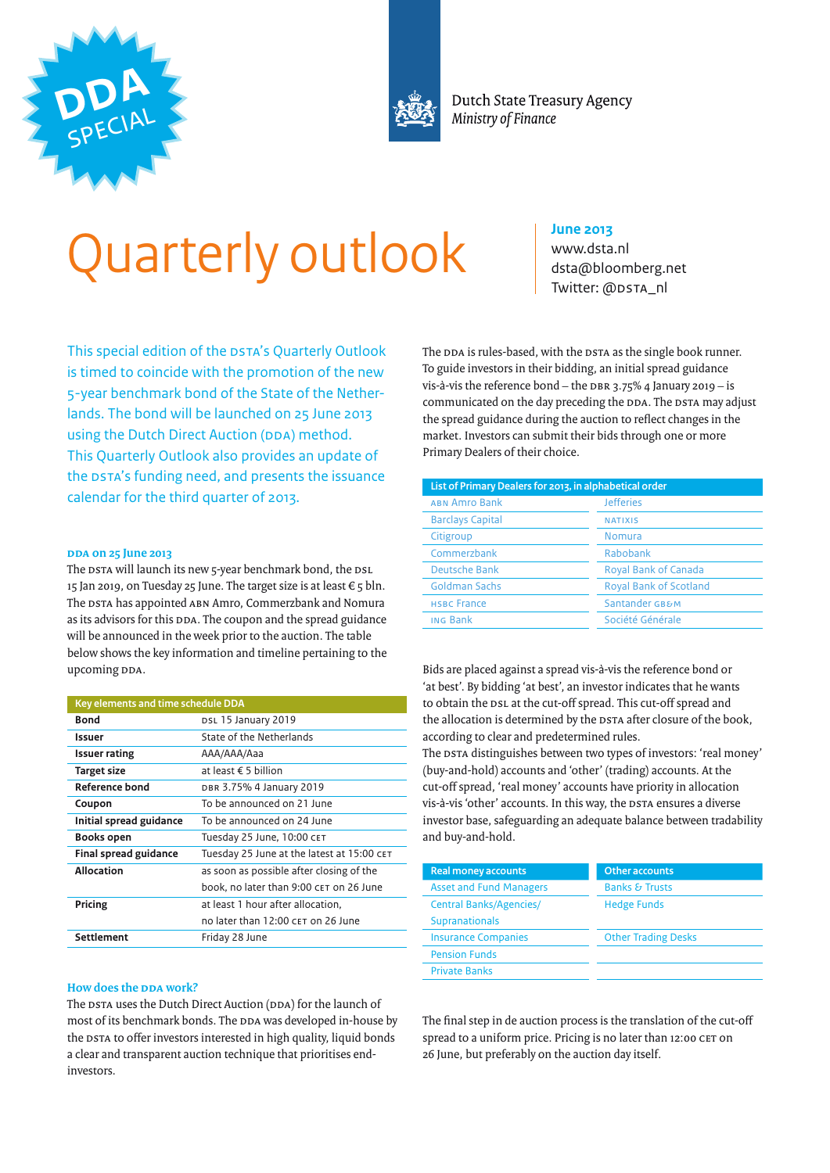



Dutch State Treasury Agency Ministry of Finance

# Quarterly outlook

This special edition of the DSTA's Quarterly Outlook is timed to coincide with the promotion of the new 5-year benchmark bond of the State of the Netherlands. The bond will be launched on 25 June 2013 using the Dutch Direct Auction (DDA) method. This Quarterly Outlook also provides an update of the DSTA's funding need, and presents the issuance calendar for the third quarter of 2013.

#### **DDA on 25 June 2013**

The DSTA will launch its new 5-year benchmark bond, the DSL 15 Jan 2019, on Tuesday 25 June. The target size is at least  $\epsilon$  5 bln. The DSTA has appointed ABN Amro, Commerzbank and Nomura as its advisors for this DDA. The coupon and the spread guidance will be announced in the week prior to the auction. The table below shows the key information and timeline pertaining to the upcoming DDA.

| Key elements and time schedule DDA                                         |                                          |  |
|----------------------------------------------------------------------------|------------------------------------------|--|
| <b>Bond</b>                                                                | DSL 15 January 2019                      |  |
| Issuer                                                                     | State of the Netherlands                 |  |
| <b>Issuer rating</b>                                                       | AAA/AAA/Aaa                              |  |
| at least $\epsilon$ 5 billion<br>Target size                               |                                          |  |
| Reference bond                                                             | DBR 3.75% 4 January 2019                 |  |
| Coupon                                                                     | To be announced on 21 June               |  |
| Initial spread guidance<br>To be announced on 24 June                      |                                          |  |
| Books open                                                                 | Tuesday 25 June, 10:00 CET               |  |
| <b>Final spread guidance</b><br>Tuesday 25 June at the latest at 15:00 CET |                                          |  |
| <b>Allocation</b>                                                          | as soon as possible after closing of the |  |
|                                                                            | book, no later than 9:00 CET on 26 June  |  |
| Pricing                                                                    | at least 1 hour after allocation.        |  |
|                                                                            | no later than 12:00 CET on 26 June       |  |
| <b>Settlement</b>                                                          | Friday 28 June                           |  |

### **How does the DDA work?**

The DSTA uses the Dutch Direct Auction (DDA) for the launch of most of its benchmark bonds. The DDA was developed in-house by the DSTA to offer investors interested in high quality, liquid bonds a clear and transparent auction technique that prioritises endinvestors.

### **June 2013**

www.dsta.nl [dsta@bloomberg.net](mailto:dsta@bloomberg.net) Twitter: [@DSTA\\_nl](https://twitter.com/DSTA_nl)

The DDA is rules-based, with the DSTA as the single book runner. To guide investors in their bidding, an initial spread guidance vis-à-vis the reference bond – the DBR 3.75% 4 January 2019 – is communicated on the day preceding the DDA. The DSTA may adjust the spread guidance during the auction to reflect changes in the market. Investors can submit their bids through one or more Primary Dealers of their choice.

| List of Primary Dealers for 2013, in alphabetical order                                                                                       |                  |                 |                  |
|-----------------------------------------------------------------------------------------------------------------------------------------------|------------------|-----------------|------------------|
| <b>ABN Amro Bank</b>                                                                                                                          | <b>Jefferies</b> |                 |                  |
| <b>Barclays Capital</b>                                                                                                                       | <b>NATIXIS</b>   |                 |                  |
| Citigroup<br><b>Nomura</b>                                                                                                                    |                  |                 |                  |
| Commerzbank<br>Rabobank                                                                                                                       |                  |                 |                  |
| Deutsche Bank<br><b>Royal Bank of Canada</b><br><b>Goldman Sachs</b><br><b>Royal Bank of Scotland</b><br>Santander GB&M<br><b>HSBC France</b> |                  |                 |                  |
|                                                                                                                                               |                  | <b>ING Bank</b> | Société Générale |
|                                                                                                                                               |                  |                 |                  |

Bids are placed against a spread vis-à-vis the reference bond or 'at best'. By bidding 'at best', an investor indicates that he wants to obtain the DSL at the cut-off spread. This cut-off spread and the allocation is determined by the DSTA after closure of the book, according to clear and predetermined rules.

The DSTA distinguishes between two types of investors: 'real money' (buy-and-hold) accounts and 'other' (trading) accounts. At the cut-off spread, 'real money' accounts have priority in allocation vis-à-vis 'other' accounts. In this way, the DSTA ensures a diverse investor base, safeguarding an adequate balance between tradability and buy-and-hold.

| <b>Real money accounts</b>     | Other accounts             |
|--------------------------------|----------------------------|
| <b>Asset and Fund Managers</b> | <b>Banks &amp; Trusts</b>  |
| <b>Central Banks/Agencies/</b> | <b>Hedge Funds</b>         |
| <b>Supranationals</b>          |                            |
| <b>Insurance Companies</b>     | <b>Other Trading Desks</b> |
| <b>Pension Funds</b>           |                            |
| <b>Private Banks</b>           |                            |
|                                |                            |

The final step in de auction process is the translation of the cut-off spread to a uniform price. Pricing is no later than 12:00 CET on 26 June, but preferably on the auction day itself.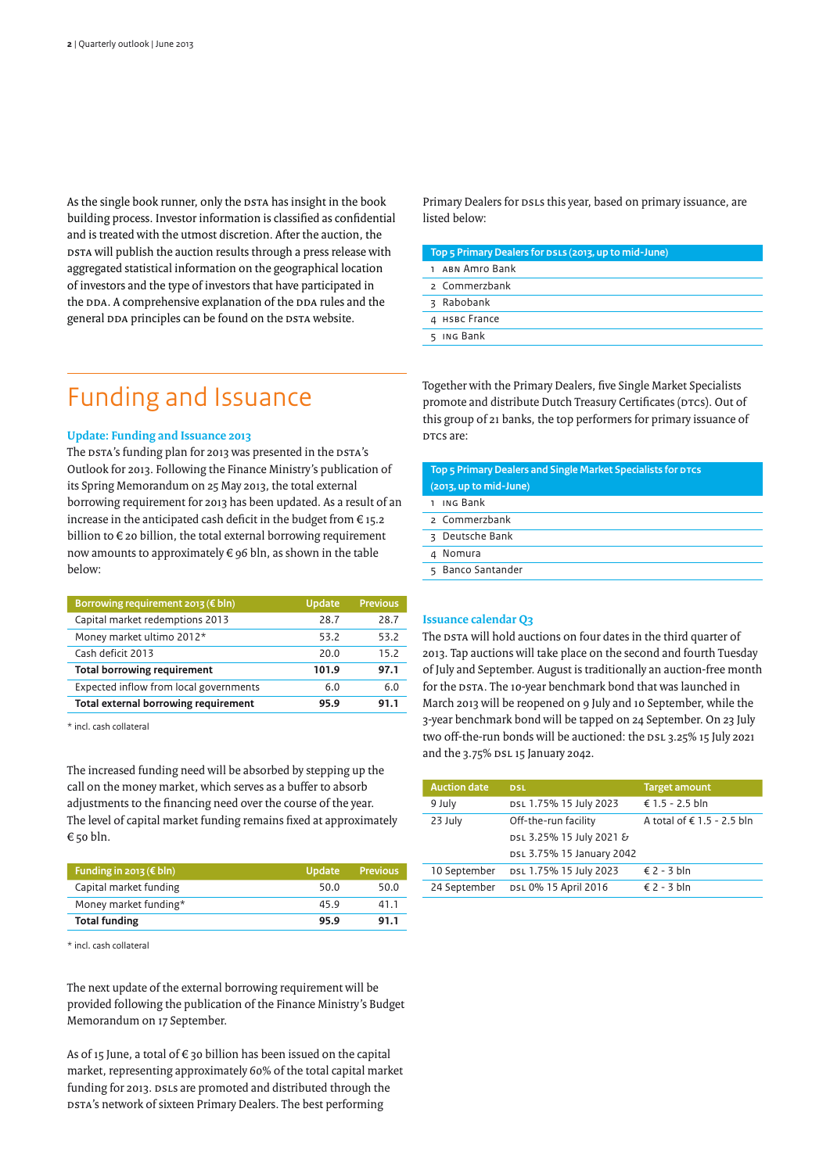As the single book runner, only the DSTA has insight in the book building process. Investor information is classified as confidential and is treated with the utmost discretion. After the auction, the DSTA will publish the auction results through a press release with aggregated statistical information on the geographical location of investors and the type of investors that have participated in the DDA. A comprehensive explanation of the DDA rules and the general DDA principles can be found on the DSTA website.

### Funding and Issuance

### **Update: Funding and Issuance 2013**

The DSTA's funding plan for 2013 was presented in the DSTA's Outlook for 2013. Following the Finance Ministry's publication of its Spring Memorandum on 25 May 2013, the total external borrowing requirement for 2013 has been updated. As a result of an increase in the anticipated cash deficit in the budget from  $\epsilon$  15.2 billion to  $\epsilon$  20 billion, the total external borrowing requirement now amounts to approximately € 96 bln, as shown in the table below:

| Borrowing requirement 2013 ( $\notin$ bln) | <b>Update</b> | <b>Previous</b> |
|--------------------------------------------|---------------|-----------------|
| Capital market redemptions 2013            | 28.7          | 28.7            |
| Money market ultimo 2012*                  | 53.2          | 53.2            |
| Cash deficit 2013                          | 20.0          | 15.2            |
| <b>Total borrowing requirement</b>         | 101.9         | 97.1            |
| Expected inflow from local governments     | 6.0           | 6.0             |
| Total external borrowing requirement       | 95.9          | 91.1            |

\* incl. cash collateral

The increased funding need will be absorbed by stepping up the call on the money market, which serves as a buffer to absorb adjustments to the financing need over the course of the year. The level of capital market funding remains fixed at approximately € 50 bln.

| Funding in 2013 ( $\notin$ bln) | <b>Update</b> | <b>Previous</b> |
|---------------------------------|---------------|-----------------|
| Capital market funding          | 50.0          | 50.0            |
| Money market funding*           | 45.9          | 41.1            |
| <b>Total funding</b>            | 95.9          | 91.1            |

\* incl. cash collateral

The next update of the external borrowing requirement will be provided following the publication of the Finance Ministry's Budget Memorandum on 17 September.

As of 15 June, a total of  $\epsilon$  30 billion has been issued on the capital market, representing approximately 60% of the total capital market funding for 2013. DSLs are promoted and distributed through the DSTA's network of sixteen Primary Dealers. The best performing

Primary Dealers for DSLs this year, based on primary issuance, are listed below:

| Top 5 Primary Dealers for DSLS (2013, up to mid-June) |  |  |
|-------------------------------------------------------|--|--|
| 1 ABN Amro Bank                                       |  |  |
| 2 Commerzbank                                         |  |  |
| 3 Rabobank                                            |  |  |
| 4 HSBC France                                         |  |  |
| 5 ING Bank                                            |  |  |

Together with the Primary Dealers, five Single Market Specialists promote and distribute Dutch Treasury Certificates (DTCs). Out of this group of 21 banks, the top performers for primary issuance of DTCs are:

| Top 5 Primary Dealers and Single Market Specialists for DTCS |  |  |  |
|--------------------------------------------------------------|--|--|--|
| (2013, up to mid-June)                                       |  |  |  |
| 1 ING Bank                                                   |  |  |  |
| 2 Commerzbank                                                |  |  |  |
| 3 Deutsche Bank                                              |  |  |  |
| 4 Nomura                                                     |  |  |  |
| 5 Banco Santander                                            |  |  |  |
|                                                              |  |  |  |

### **Issuance calendar Q3**

The DSTA will hold auctions on four dates in the third quarter of 2013. Tap auctions will take place on the second and fourth Tuesday of July and September. August is traditionally an auction-free month for the DSTA. The 10-year benchmark bond that was launched in March 2013 will be reopened on 9 July and 10 September, while the 3-year benchmark bond will be tapped on 24 September. On 23 July two off-the-run bonds will be auctioned: the DSL 3.25% 15 July 2021 and the 3.75% DSL 15 January 2042.

| <b>Auction date</b> | <b>DSL</b>                | <b>Target amount</b>       |
|---------------------|---------------------------|----------------------------|
| 9 July              | DSL 1.75% 15 July 2023    | € 1.5 - 2.5 bln            |
| 23 July             | Off-the-run facility      | A total of € 1.5 - 2.5 bln |
|                     | DSL 3.25% 15 July 2021 &  |                            |
|                     | DSL 3.75% 15 January 2042 |                            |
| 10 September        | DSL 1.75% 15 July 2023    | $\leq 2 - 3$ bln           |
| 24 September        | DSL 0% 15 April 2016      | $\leq 2 - 3$ bln           |
|                     |                           |                            |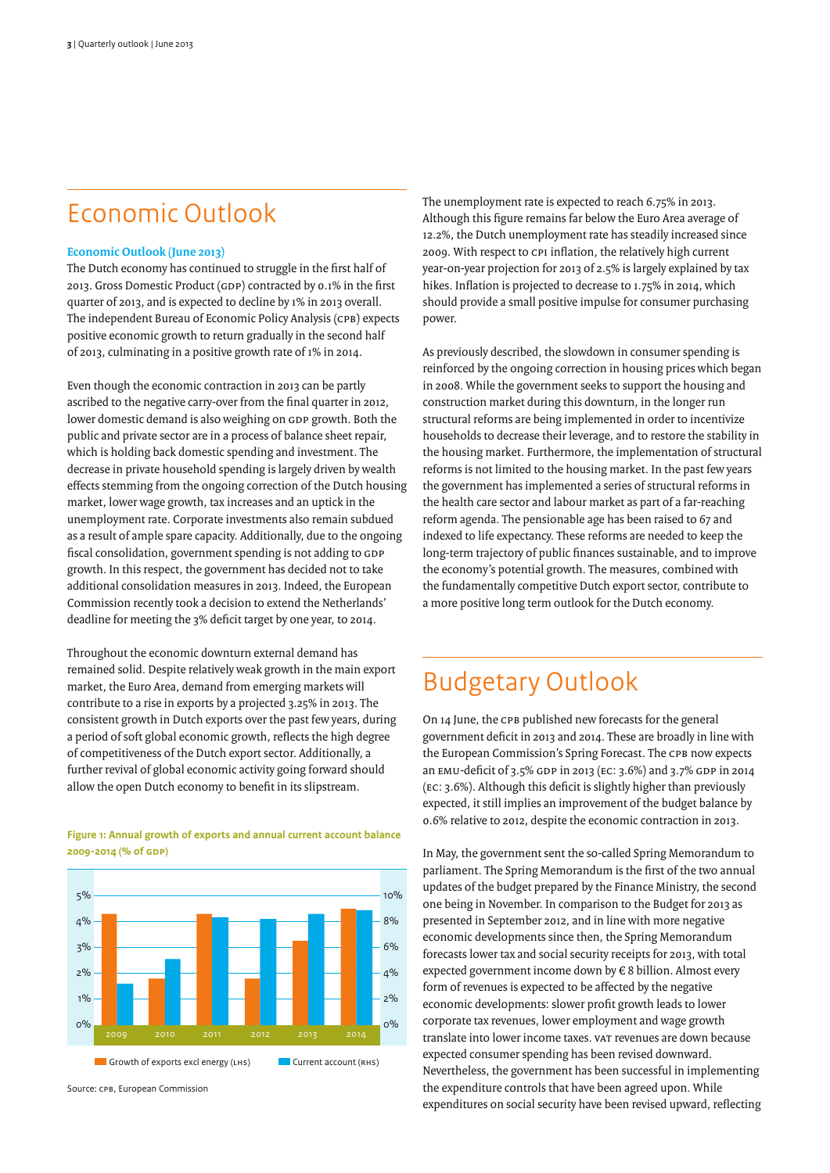### Economic Outlook

### **Economic Outlook (June 2013)**

The Dutch economy has continued to struggle in the first half of 2013. Gross Domestic Product (GDP) contracted by 0.1% in the first quarter of 2013, and is expected to decline by 1% in 2013 overall. The independent Bureau of Economic Policy Analysis (CPB) expects positive economic growth to return gradually in the second half of 2013, culminating in a positive growth rate of 1% in 2014.

Even though the economic contraction in 2013 can be partly ascribed to the negative carry-over from the final quarter in 2012, lower domestic demand is also weighing on GDP growth. Both the public and private sector are in a process of balance sheet repair, which is holding back domestic spending and investment. The decrease in private household spending is largely driven by wealth effects stemming from the ongoing correction of the Dutch housing market, lower wage growth, tax increases and an uptick in the unemployment rate. Corporate investments also remain subdued as a result of ample spare capacity. Additionally, due to the ongoing fiscal consolidation, government spending is not adding to GDP growth. In this respect, the government has decided not to take additional consolidation measures in 2013. Indeed, the European Commission recently took a decision to extend the Netherlands' deadline for meeting the 3% deficit target by one year, to 2014.

Throughout the economic downturn external demand has remained solid. Despite relatively weak growth in the main export market, the Euro Area, demand from emerging markets will contribute to a rise in exports by a projected 3.25% in 2013. The consistent growth in Dutch exports over the past few years, during a period of soft global economic growth, reflects the high degree of competitiveness of the Dutch export sector. Additionally, a further revival of global economic activity going forward should allow the open Dutch economy to benefit in its slipstream.

**Figure 1: Annual growth of exports and annual current account balance 2009-2014 (% of GDP)**



Source: CPB, European Commission

The unemployment rate is expected to reach 6.75% in 2013. Although this figure remains far below the Euro Area average of 12.2%, the Dutch unemployment rate has steadily increased since 2009. With respect to CPI inflation, the relatively high current year-on-year projection for 2013 of 2.5% is largely explained by tax hikes. Inflation is projected to decrease to 1.75% in 2014, which should provide a small positive impulse for consumer purchasing power.

As previously described, the slowdown in consumer spending is reinforced by the ongoing correction in housing prices which began in 2008. While the government seeks to support the housing and construction market during this downturn, in the longer run structural reforms are being implemented in order to incentivize households to decrease their leverage, and to restore the stability in the housing market. Furthermore, the implementation of structural reforms is not limited to the housing market. In the past few years the government has implemented a series of structural reforms in the health care sector and labour market as part of a far-reaching reform agenda. The pensionable age has been raised to 67 and indexed to life expectancy. These reforms are needed to keep the long-term trajectory of public finances sustainable, and to improve the economy's potential growth. The measures, combined with the fundamentally competitive Dutch export sector, contribute to a more positive long term outlook for the Dutch economy.

### Budgetary Outlook

On 14 June, the CPB published new forecasts for the general government deficit in 2013 and 2014. These are broadly in line with the European Commission's Spring Forecast. The CPB now expects an EMU-deficit of 3.5% GDP in 2013 (EC: 3.6%) and 3.7% GDP in 2014 (EC: 3.6%). Although this deficit is slightly higher than previously expected, it still implies an improvement of the budget balance by 0.6% relative to 2012, despite the economic contraction in 2013.

In May, the government sent the so-called Spring Memorandum to parliament. The Spring Memorandum is the first of the two annual updates of the budget prepared by the Finance Ministry, the second one being in November. In comparison to the Budget for 2013 as presented in September 2012, and in line with more negative economic developments since then, the Spring Memorandum forecasts lower tax and social security receipts for 2013, with total expected government income down by € 8 billion. Almost every form of revenues is expected to be affected by the negative economic developments: slower profit growth leads to lower corporate tax revenues, lower employment and wage growth translate into lower income taxes. VAT revenues are down because expected consumer spending has been revised downward. Nevertheless, the government has been successful in implementing the expenditure controls that have been agreed upon. While expenditures on social security have been revised upward, reflecting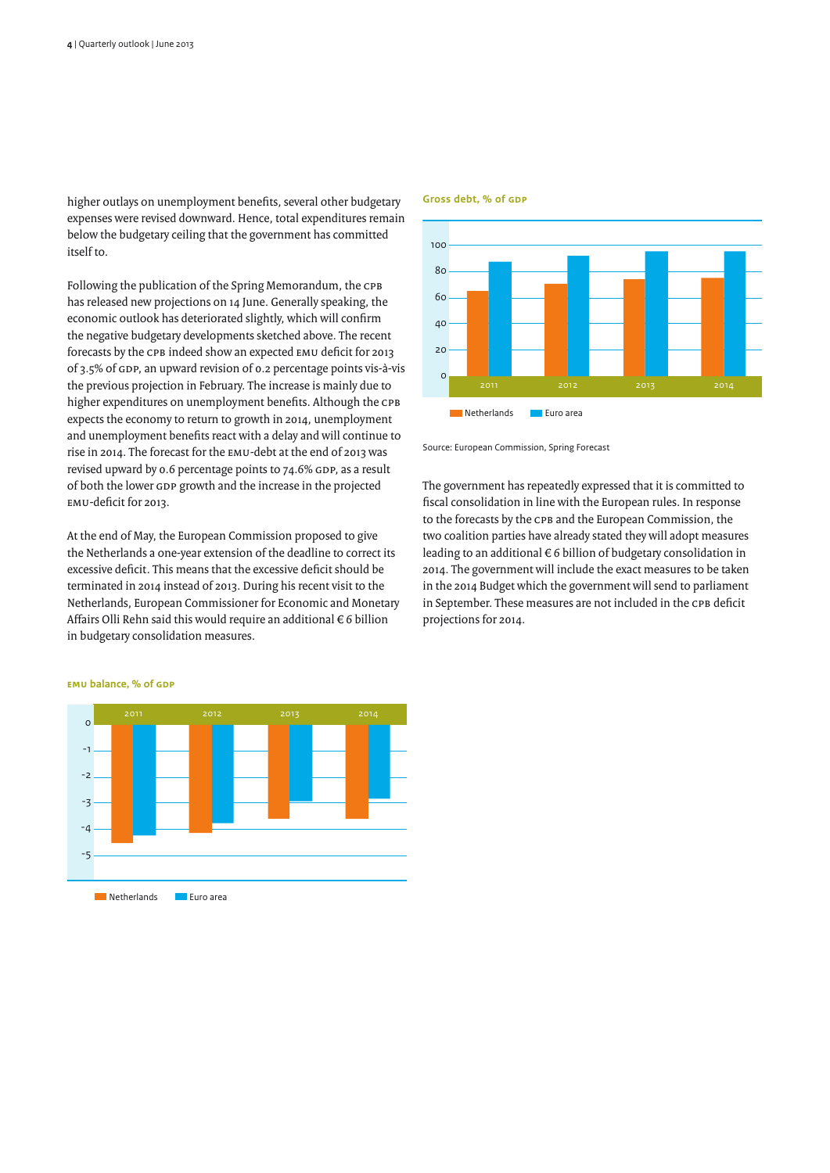higher outlays on unemployment benefits, several other budgetary expenses were revised downward. Hence, total expenditures remain below the budgetary ceiling that the government has committed itself to.

Following the publication of the Spring Memorandum, the CPB has released new projections on 14 June. Generally speaking, the economic outlook has deteriorated slightly, which will confirm the negative budgetary developments sketched above. The recent forecasts by the CPB indeed show an expected EMU deficit for 2013 of 3.5% of GDP, an upward revision of 0.2 percentage points vis-à-vis the previous projection in February. The increase is mainly due to higher expenditures on unemployment benefits. Although the CPB expects the economy to return to growth in 2014, unemployment and unemployment benefits react with a delay and will continue to rise in 2014. The forecast for the EMU-debt at the end of 2013 was revised upward by 0.6 percentage points to 74.6% GDP, as a result of both the lower GDP growth and the increase in the projected EMU-deficit for 2013.

At the end of May, the European Commission proposed to give the Netherlands a one-year extension of the deadline to correct its excessive deficit. This means that the excessive deficit should be terminated in 2014 instead of 2013. During his recent visit to the Netherlands, European Commissioner for Economic and Monetary Affairs Olli Rehn said this would require an additional € 6 billion in budgetary consolidation measures.



**Gross debt, % of GDP**

Source: European Commission, Spring Forecast

The government has repeatedly expressed that it is committed to fiscal consolidation in line with the European rules. In response to the forecasts by the CPB and the European Commission, the two coalition parties have already stated they will adopt measures leading to an additional  $\epsilon$  6 billion of budgetary consolidation in 2014. The government will include the exact measures to be taken in the 2014 Budget which the government will send to parliament in September. These measures are not included in the CPB deficit projections for 2014.



**EMU balance, % of GDP**

**ENetherlands** Euro area